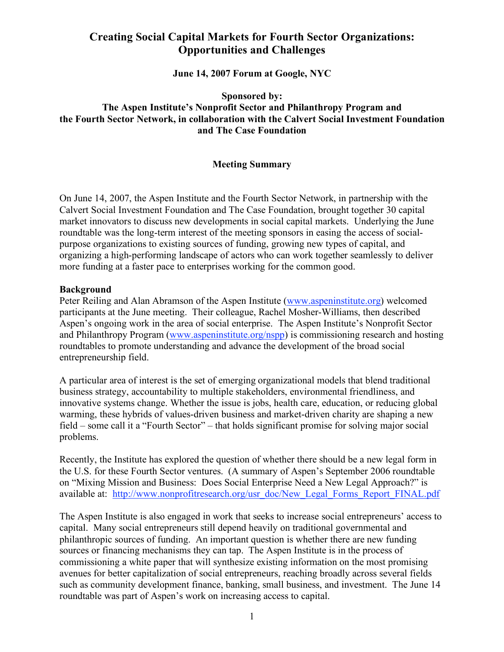# **Creating Social Capital Markets for Fourth Sector Organizations: Opportunities and Challenges**

**June 14, 2007 Forum at Google, NYC**

**Sponsored by: The Aspen Institute's Nonprofit Sector and Philanthropy Program and the Fourth Sector Network, in collaboration with the Calvert Social Investment Foundation and The Case Foundation**

### **Meeting Summary**

On June 14, 2007, the Aspen Institute and the Fourth Sector Network, in partnership with the Calvert Social Investment Foundation and The Case Foundation, brought together 30 capital market innovators to discuss new developments in social capital markets. Underlying the June roundtable was the long-term interest of the meeting sponsors in easing the access of socialpurpose organizations to existing sources of funding, growing new types of capital, and organizing a high-performing landscape of actors who can work together seamlessly to deliver more funding at a faster pace to enterprises working for the common good.

#### **Background**

Peter Reiling and Alan Abramson of the Aspen Institute (www.aspeninstitute.org) welcomed participants at the June meeting. Their colleague, Rachel Mosher-Williams, then described Aspen's ongoing work in the area of social enterprise. The Aspen Institute's Nonprofit Sector and Philanthropy Program (www.aspeninstitute.org/nspp) is commissioning research and hosting roundtables to promote understanding and advance the development of the broad social entrepreneurship field.

A particular area of interest is the set of emerging organizational models that blend traditional business strategy, accountability to multiple stakeholders, environmental friendliness, and innovative systems change. Whether the issue is jobs, health care, education, or reducing global warming, these hybrids of values-driven business and market-driven charity are shaping a new field – some call it a "Fourth Sector" – that holds significant promise for solving major social problems.

Recently, the Institute has explored the question of whether there should be a new legal form in the U.S. for these Fourth Sector ventures. (A summary of Aspen's September 2006 roundtable on "Mixing Mission and Business: Does Social Enterprise Need a New Legal Approach?" is available at: http://www.nonprofitresearch.org/usr\_doc/New\_Legal\_Forms\_Report\_FINAL.pdf

The Aspen Institute is also engaged in work that seeks to increase social entrepreneurs' access to capital. Many social entrepreneurs still depend heavily on traditional governmental and philanthropic sources of funding. An important question is whether there are new funding sources or financing mechanisms they can tap. The Aspen Institute is in the process of commissioning a white paper that will synthesize existing information on the most promising avenues for better capitalization of social entrepreneurs, reaching broadly across several fields such as community development finance, banking, small business, and investment. The June 14 roundtable was part of Aspen's work on increasing access to capital.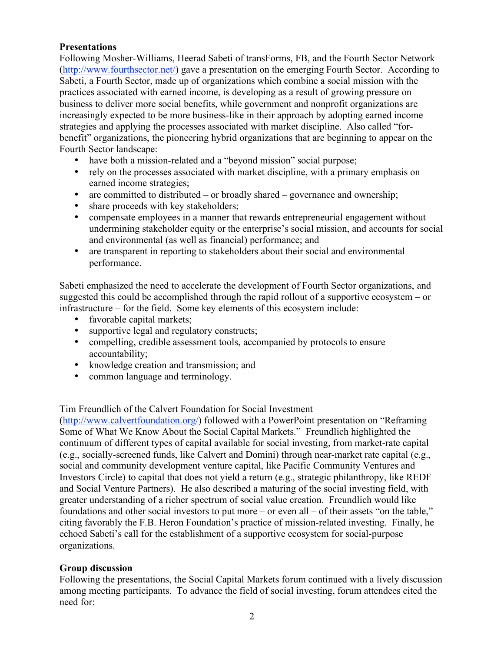## **Presentations**

Following Mosher-Williams, Heerad Sabeti of transForms, FB, and the Fourth Sector Network (http://www.fourthsector.net/) gave a presentation on the emerging Fourth Sector. According to Sabeti, a Fourth Sector, made up of organizations which combine a social mission with the practices associated with earned income, is developing as a result of growing pressure on business to deliver more social benefits, while government and nonprofit organizations are increasingly expected to be more business-like in their approach by adopting earned income strategies and applying the processes associated with market discipline. Also called "forbenefit" organizations, the pioneering hybrid organizations that are beginning to appear on the Fourth Sector landscape:

- have both a mission-related and a "beyond mission" social purpose;
- rely on the processes associated with market discipline, with a primary emphasis on earned income strategies;
- are committed to distributed or broadly shared governance and ownership;
- share proceeds with key stakeholders:
- compensate employees in a manner that rewards entrepreneurial engagement without undermining stakeholder equity or the enterprise's social mission, and accounts for social and environmental (as well as financial) performance; and
- are transparent in reporting to stakeholders about their social and environmental performance.

Sabeti emphasized the need to accelerate the development of Fourth Sector organizations, and suggested this could be accomplished through the rapid rollout of a supportive ecosystem – or infrastructure – for the field. Some key elements of this ecosystem include:

- favorable capital markets;
- supportive legal and regulatory constructs;
- compelling, credible assessment tools, accompanied by protocols to ensure accountability;
- knowledge creation and transmission; and
- common language and terminology.

Tim Freundlich of the Calvert Foundation for Social Investment

(http://www.calvertfoundation.org/) followed with a PowerPoint presentation on "Reframing Some of What We Know About the Social Capital Markets." Freundlich highlighted the continuum of different types of capital available for social investing, from market-rate capital (e.g., socially-screened funds, like Calvert and Domini) through near-market rate capital (e.g., social and community development venture capital, like Pacific Community Ventures and Investors Circle) to capital that does not yield a return (e.g., strategic philanthropy, like REDF and Social Venture Partners). He also described a maturing of the social investing field, with greater understanding of a richer spectrum of social value creation. Freundlich would like foundations and other social investors to put more – or even all – of their assets "on the table," citing favorably the F.B. Heron Foundation's practice of mission-related investing. Finally, he echoed Sabeti's call for the establishment of a supportive ecosystem for social-purpose organizations.

## **Group discussion**

Following the presentations, the Social Capital Markets forum continued with a lively discussion among meeting participants. To advance the field of social investing, forum attendees cited the need for: